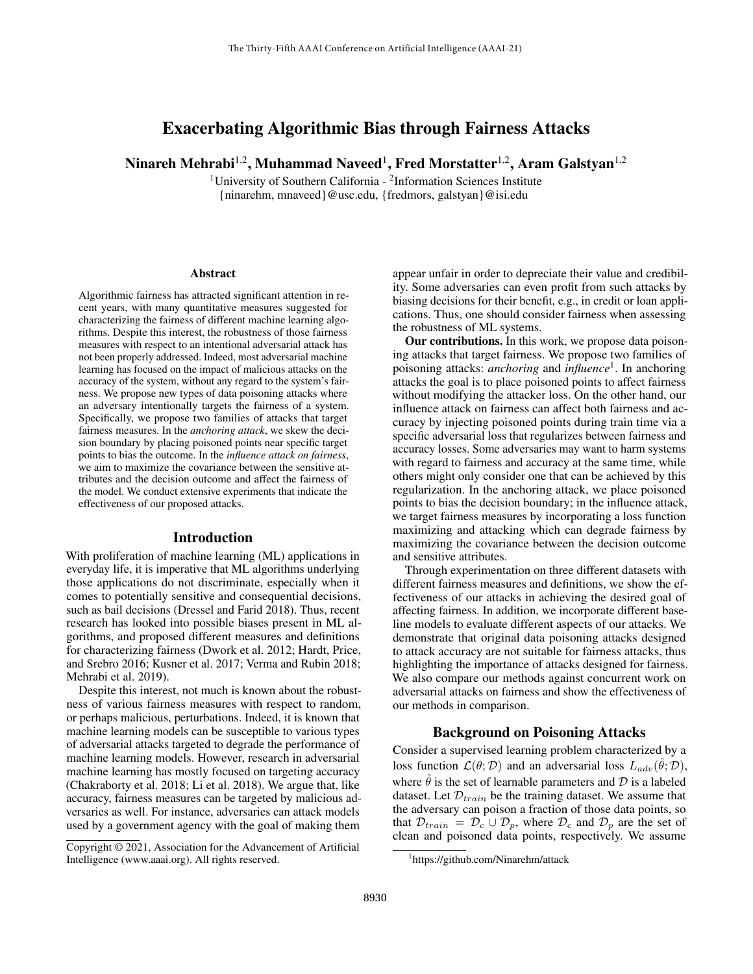# Exacerbating Algorithmic Bias through Fairness Attacks

Ninareh Mehrabi $^{1,2}$ , Muhammad Naveed $^{1}$ , Fred Morstatter $^{1,2}$ , Aram Galstyan $^{1,2}$ 

<sup>1</sup>University of Southern California - <sup>2</sup>Information Sciences Institute {ninarehm, mnaveed}@usc.edu, {fredmors, galstyan}@isi.edu

#### Abstract

Algorithmic fairness has attracted significant attention in recent years, with many quantitative measures suggested for characterizing the fairness of different machine learning algorithms. Despite this interest, the robustness of those fairness measures with respect to an intentional adversarial attack has not been properly addressed. Indeed, most adversarial machine learning has focused on the impact of malicious attacks on the accuracy of the system, without any regard to the system's fairness. We propose new types of data poisoning attacks where an adversary intentionally targets the fairness of a system. Specifically, we propose two families of attacks that target fairness measures. In the *anchoring attack*, we skew the decision boundary by placing poisoned points near specific target points to bias the outcome. In the *influence attack on fairness*, we aim to maximize the covariance between the sensitive attributes and the decision outcome and affect the fairness of the model. We conduct extensive experiments that indicate the effectiveness of our proposed attacks.

#### Introduction

With proliferation of machine learning (ML) applications in everyday life, it is imperative that ML algorithms underlying those applications do not discriminate, especially when it comes to potentially sensitive and consequential decisions, such as bail decisions [\(Dressel and Farid 2018\)](#page-7-0). Thus, recent research has looked into possible biases present in ML algorithms, and proposed different measures and definitions for characterizing fairness [\(Dwork et al. 2012;](#page-7-1) [Hardt, Price,](#page-7-2) [and Srebro 2016;](#page-7-2) [Kusner et al. 2017;](#page-7-3) [Verma and Rubin 2018;](#page-8-0) [Mehrabi et al. 2019\)](#page-8-1).

Despite this interest, not much is known about the robustness of various fairness measures with respect to random, or perhaps malicious, perturbations. Indeed, it is known that machine learning models can be susceptible to various types of adversarial attacks targeted to degrade the performance of machine learning models. However, research in adversarial machine learning has mostly focused on targeting accuracy [\(Chakraborty et al. 2018;](#page-7-4) [Li et al. 2018\)](#page-8-2). We argue that, like accuracy, fairness measures can be targeted by malicious adversaries as well. For instance, adversaries can attack models used by a government agency with the goal of making them

appear unfair in order to depreciate their value and credibility. Some adversaries can even profit from such attacks by biasing decisions for their benefit, e.g., in credit or loan applications. Thus, one should consider fairness when assessing the robustness of ML systems.

Our contributions. In this work, we propose data poisoning attacks that target fairness. We propose two families of poisoning attacks: *anchoring* and *influence*[1](#page-0-0) . In anchoring attacks the goal is to place poisoned points to affect fairness without modifying the attacker loss. On the other hand, our influence attack on fairness can affect both fairness and accuracy by injecting poisoned points during train time via a specific adversarial loss that regularizes between fairness and accuracy losses. Some adversaries may want to harm systems with regard to fairness and accuracy at the same time, while others might only consider one that can be achieved by this regularization. In the anchoring attack, we place poisoned points to bias the decision boundary; in the influence attack, we target fairness measures by incorporating a loss function maximizing and attacking which can degrade fairness by maximizing the covariance between the decision outcome and sensitive attributes.

Through experimentation on three different datasets with different fairness measures and definitions, we show the effectiveness of our attacks in achieving the desired goal of affecting fairness. In addition, we incorporate different baseline models to evaluate different aspects of our attacks. We demonstrate that original data poisoning attacks designed to attack accuracy are not suitable for fairness attacks, thus highlighting the importance of attacks designed for fairness. We also compare our methods against concurrent work on adversarial attacks on fairness and show the effectiveness of our methods in comparison.

### Background on Poisoning Attacks

Consider a supervised learning problem characterized by a loss function  $\mathcal{L}(\theta; \mathcal{D})$  and an adversarial loss  $L_{adv}(\hat{\theta}; \mathcal{D})$ , where  $\hat{\theta}$  is the set of learnable parameters and  $\hat{\mathcal{D}}$  is a labeled dataset. Let  $\mathcal{D}_{train}$  be the training dataset. We assume that the adversary can poison a fraction of those data points, so that  $\mathcal{D}_{train} = \mathcal{D}_c \cup \mathcal{D}_p$ , where  $\mathcal{D}_c$  and  $\mathcal{D}_p$  are the set of clean and poisoned data points, respectively. We assume

Copyright © 2021, Association for the Advancement of Artificial Intelligence (www.aaai.org). All rights reserved.

<span id="page-0-0"></span><sup>1</sup> https://github.com/Ninarehm/attack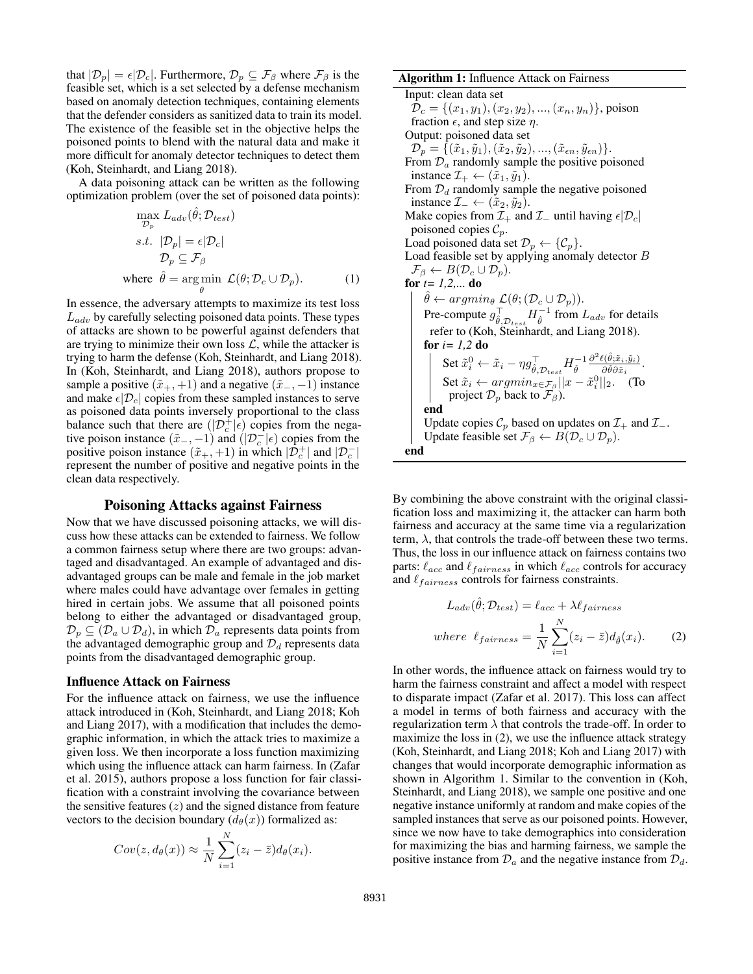that  $|\mathcal{D}_p| = \epsilon |\mathcal{D}_c|$ . Furthermore,  $\mathcal{D}_p \subseteq \mathcal{F}_\beta$  where  $\mathcal{F}_\beta$  is the feasible set, which is a set selected by a defense mechanism based on anomaly detection techniques, containing elements that the defender considers as sanitized data to train its model. The existence of the feasible set in the objective helps the poisoned points to blend with the natural data and make it more difficult for anomaly detector techniques to detect them [\(Koh, Steinhardt, and Liang 2018\)](#page-7-5).

A data poisoning attack can be written as the following optimization problem (over the set of poisoned data points):

$$
\max_{\mathcal{D}_p} L_{adv}(\hat{\theta}; \mathcal{D}_{test})
$$
  
s.t.  $|\mathcal{D}_p| = \epsilon |\mathcal{D}_c|$   
 $\mathcal{D}_p \subseteq \mathcal{F}_\beta$   
where  $\hat{\theta} = \underset{\theta}{\arg \min} \ \mathcal{L}(\theta; \mathcal{D}_c \cup \mathcal{D}_p).$  (1)

In essence, the adversary attempts to maximize its test loss  $L_{adv}$  by carefully selecting poisoned data points. These types of attacks are shown to be powerful against defenders that are trying to minimize their own loss  $\mathcal{L}$ , while the attacker is trying to harm the defense [\(Koh, Steinhardt, and Liang 2018\)](#page-7-5). In [\(Koh, Steinhardt, and Liang 2018\)](#page-7-5), authors propose to sample a positive  $(\tilde{x}_+, +1)$  and a negative  $(\tilde{x}_-, -1)$  instance and make  $\epsilon |D_c|$  copies from these sampled instances to serve as poisoned data points inversely proportional to the class balance such that there are  $(|\mathcal{D}_c^+|_{\epsilon})$  copies from the negative poison instance  $(\tilde{x}_-, -1)$  and  $(|\mathcal{D}_c^-|\epsilon)$  copies from the positive poison instance  $(\tilde{x}_+, +1)$  in which  $|\mathcal{D}_c^+|$  and  $|\mathcal{D}_c^-|$ represent the number of positive and negative points in the clean data respectively.

### Poisoning Attacks against Fairness

Now that we have discussed poisoning attacks, we will discuss how these attacks can be extended to fairness. We follow a common fairness setup where there are two groups: advantaged and disadvantaged. An example of advantaged and disadvantaged groups can be male and female in the job market where males could have advantage over females in getting hired in certain jobs. We assume that all poisoned points belong to either the advantaged or disadvantaged group,  $\mathcal{D}_p \subseteq (\mathcal{D}_a \cup \mathcal{D}_d)$ , in which  $\mathcal{D}_a$  represents data points from the advantaged demographic group and  $\mathcal{D}_d$  represents data points from the disadvantaged demographic group.

#### <span id="page-1-0"></span>Influence Attack on Fairness

For the influence attack on fairness, we use the influence attack introduced in [\(Koh, Steinhardt, and Liang 2018;](#page-7-5) [Koh](#page-7-6) [and Liang 2017\)](#page-7-6), with a modification that includes the demographic information, in which the attack tries to maximize a given loss. We then incorporate a loss function maximizing which using the influence attack can harm fairness. In [\(Zafar](#page-8-3) [et al. 2015\)](#page-8-3), authors propose a loss function for fair classification with a constraint involving the covariance between the sensitive features  $(z)$  and the signed distance from feature vectors to the decision boundary  $(d_{\theta}(x))$  formalized as:

$$
Cov(z, d_{\theta}(x)) \approx \frac{1}{N} \sum_{i=1}^{N} (z_i - \bar{z}) d_{\theta}(x_i).
$$

#### Algorithm 1: Influence Attack on Fairness

Input: clean data set  $\mathcal{D}_c = \{(x_1, y_1), (x_2, y_2), ..., (x_n, y_n)\}\$ , poison fraction  $\epsilon$ , and step size  $\eta$ . Output: poisoned data set  $\mathcal{D}_p = \{(\tilde{x}_1, \tilde{y}_1),(\tilde{x}_2, \tilde{y}_2),...,(\tilde{x}_{\epsilon n}, \tilde{y}_{\epsilon n})\}.$ From  $\mathcal{D}_a$  randomly sample the positive poisoned instance  $\mathcal{I}_+ \leftarrow (\tilde{x}_1, \tilde{y}_1).$ From  $\mathcal{D}_d$  randomly sample the negative poisoned instance  $\mathcal{I}_ - \leftarrow (\tilde{x}_2, \tilde{y}_2)$ . Make copies from  $\mathcal{I}_+$  and  $\mathcal{I}_-$  until having  $\epsilon |\mathcal{D}_c|$ poisoned copies  $C_p$ . Load poisoned data set  $\mathcal{D}_p \leftarrow \{ \mathcal{C}_p \}.$ Load feasible set by applying anomaly detector B  $\mathcal{F}_{\beta} \leftarrow B(\mathcal{D}_c \cup \mathcal{D}_p).$ **for**  $t = 1, 2, ...$  **do**  $\hat{\theta} \leftarrow argmin_{\theta} \mathcal{L}(\theta; (\mathcal{D}_c \cup \mathcal{D}_p)).$ Pre-compute  $g_{\hat{\theta}, \mathcal{D}_{test}}^{\top} H_{\hat{\theta}}^{-1}$  from  $L_{adv}$  for details refer to [\(Koh, Steinhardt, and Liang 2018\)](#page-7-5). for  $i=1,2$  do Set  $\tilde{x}_i^0 \leftarrow \tilde{x}_i - \eta g_{\hat{\theta}, \mathcal{D}_{test}}^\top H_{\hat{\theta}}^{-1} \frac{\partial^2 \ell(\hat{\theta}; \tilde{x}_i, \tilde{y}_i)}{\partial \hat{\theta} \partial \tilde{x}_i}$  $\frac{\partial \left(\theta;x_i,y_i\right)}{\partial\hat{\theta}\partial \tilde{x}_i}.$ Set  $\tilde{x}_i \leftarrow argmin_{x \in \mathcal{F}_{\beta}} ||x - \tilde{x}_i^0||_2.$  (To project  $\mathcal{D}_p$  back to  $\mathcal{F}_{\beta}$ ). end Update copies  $\mathcal{C}_p$  based on updates on  $\mathcal{I}_+$  and  $\mathcal{I}_-$ . Update feasible set  $\mathcal{F}_{\beta} \leftarrow B(\mathcal{D}_c \cup \mathcal{D}_p)$ . end

<span id="page-1-1"></span>By combining the above constraint with the original classification loss and maximizing it, the attacker can harm both fairness and accuracy at the same time via a regularization term,  $\lambda$ , that controls the trade-off between these two terms. Thus, the loss in our influence attack on fairness contains two parts:  $\ell_{acc}$  and  $\ell_{fairness}$  in which  $\ell_{acc}$  controls for accuracy and  $\ell_{fairness}$  controls for fairness constraints.

$$
L_{adv}(\hat{\theta}; \mathcal{D}_{test}) = \ell_{acc} + \lambda \ell_{fairness}
$$
  
where  $\ell_{fairness} = \frac{1}{N} \sum_{i=1}^{N} (z_i - \bar{z}) d_{\hat{\theta}}(x_i).$  (2)

In other words, the influence attack on fairness would try to harm the fairness constraint and affect a model with respect to disparate impact [\(Zafar et al. 2017\)](#page-8-4). This loss can affect a model in terms of both fairness and accuracy with the regularization term  $\lambda$  that controls the trade-off. In order to maximize the loss in [\(2\)](#page-1-0), we use the influence attack strategy [\(Koh, Steinhardt, and Liang 2018;](#page-7-5) [Koh and Liang 2017\)](#page-7-6) with changes that would incorporate demographic information as shown in Algorithm [1.](#page-1-1) Similar to the convention in [\(Koh,](#page-7-5) [Steinhardt, and Liang 2018\)](#page-7-5), we sample one positive and one negative instance uniformly at random and make copies of the sampled instances that serve as our poisoned points. However, since we now have to take demographics into consideration for maximizing the bias and harming fairness, we sample the positive instance from  $\mathcal{D}_a$  and the negative instance from  $\mathcal{D}_d$ .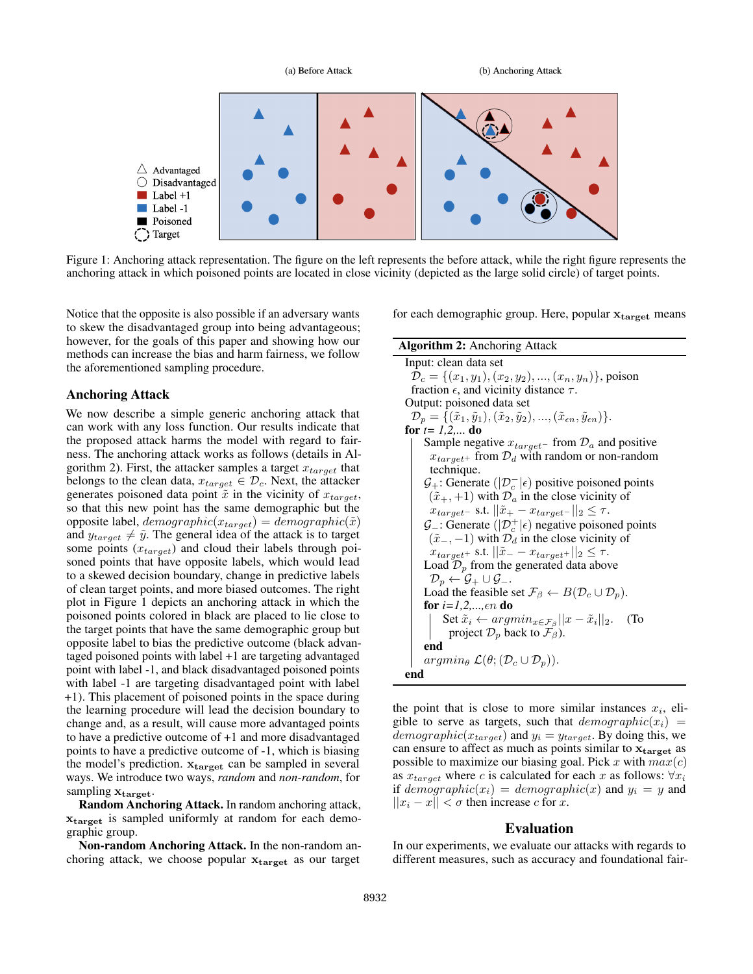<span id="page-2-1"></span>

Figure 1: Anchoring attack representation. The figure on the left represents the before attack, while the right figure represents the anchoring attack in which poisoned points are located in close vicinity (depicted as the large solid circle) of target points.

Notice that the opposite is also possible if an adversary wants to skew the disadvantaged group into being advantageous; however, for the goals of this paper and showing how our methods can increase the bias and harm fairness, we follow the aforementioned sampling procedure.

#### Anchoring Attack

We now describe a simple generic anchoring attack that can work with any loss function. Our results indicate that the proposed attack harms the model with regard to fairness. The anchoring attack works as follows (details in Al-gorithm [2\)](#page-2-0). First, the attacker samples a target  $x_{target}$  that belongs to the clean data,  $x_{target} \in \mathcal{D}_c$ . Next, the attacker generates poisoned data point  $\tilde{x}$  in the vicinity of  $x_{\text{target}}$ , so that this new point has the same demographic but the opposite label,  $demographic(x_{target}) = demographic(\tilde{x})$ and  $y_{target} \neq \tilde{y}$ . The general idea of the attack is to target some points  $(x_{target})$  and cloud their labels through poisoned points that have opposite labels, which would lead to a skewed decision boundary, change in predictive labels of clean target points, and more biased outcomes. The right plot in Figure [1](#page-2-1) depicts an anchoring attack in which the poisoned points colored in black are placed to lie close to the target points that have the same demographic group but opposite label to bias the predictive outcome (black advantaged poisoned points with label +1 are targeting advantaged point with label -1, and black disadvantaged poisoned points with label -1 are targeting disadvantaged point with label +1). This placement of poisoned points in the space during the learning procedure will lead the decision boundary to change and, as a result, will cause more advantaged points to have a predictive outcome of +1 and more disadvantaged points to have a predictive outcome of -1, which is biasing the model's prediction.  $x_{target}$  can be sampled in several ways. We introduce two ways, *random* and *non-random*, for sampling  $x_{target}$ .

Random Anchoring Attack. In random anchoring attack, xtarget is sampled uniformly at random for each demographic group.

Non-random Anchoring Attack. In the non-random anchoring attack, we choose popular  $x_{\text{target}}$  as our target

for each demographic group. Here, popular  $x_{target}$  means

### Algorithm 2: Anchoring Attack

Input: clean data set  $\mathcal{D}_c = \{(x_1, y_1), (x_2, y_2), ..., (x_n, y_n)\}\$ , poison fraction  $\epsilon$ , and vicinity distance  $\tau$ . Output: poisoned data set  $\mathcal{D}_p = \{(\tilde{x}_1, \tilde{y}_1),(\tilde{x}_2, \tilde{y}_2), ...,(\tilde{x}_{\epsilon n}, \tilde{y}_{\epsilon n})\}.$ for  $t=1,2,...$  do Sample negative  $x_{target}$ – from  $\mathcal{D}_a$  and positive  $x_{target+}$  from  $\mathcal{D}_d$  with random or non-random technique.  $\mathcal{G}_+$ : Generate  $(|\mathcal{D}_c^-|\epsilon)$  positive poisoned points  $(\tilde{x}_+, +1)$  with  $\mathcal{D}_a$  in the close vicinity of  $x_{target}$ – s.t.  $||\tilde{x}_{+} - x_{target-}||_2 \leq \tau$ .  $\mathcal{G}_-$ : Generate  $(|\mathcal{D}_c^+| \epsilon)$  negative poisoned points  $(\tilde{x}_-, -1)$  with  $\mathcal{D}_d$  in the close vicinity of  $x_{target+}$  s.t.  $||\tilde{x}_{-} - x_{target+}||_2 \leq \tau$ . Load  $\mathcal{D}_p$  from the generated data above  $\mathcal{D}_p \leftarrow \mathcal{G}_+ \cup \mathcal{G}_-.$ Load the feasible set  $\mathcal{F}_{\beta} \leftarrow B(\mathcal{D}_c \cup \mathcal{D}_p)$ . for  $i=1,2,...,en$  do Set  $\tilde{x}_i \leftarrow argmin_{x \in \mathcal{F}_{\beta}} ||x - \tilde{x}_i||_2$ . (To project  $\mathcal{D}_p$  back to  $\mathcal{F}_{\beta}$ ). end  $argmin_{\theta} \mathcal{L}(\theta; (\mathcal{D}_c \cup \mathcal{D}_p)).$ end

<span id="page-2-0"></span>the point that is close to more similar instances  $x_i$ , eligible to serve as targets, such that  $demographic(x_i)$  =  $demographic(x_{target})$  and  $y_i = y_{target}$ . By doing this, we can ensure to affect as much as points similar to  $x_{\text{target}}$  as possible to maximize our biasing goal. Pick x with  $max(c)$ as  $x_{target}$  where c is calculated for each x as follows:  $\forall x_i$ if  $demographic(x_i) = demographic(x)$  and  $y_i = y$  and  $||x_i - x|| < \sigma$  then increase c for x.

#### Evaluation

In our experiments, we evaluate our attacks with regards to different measures, such as accuracy and foundational fair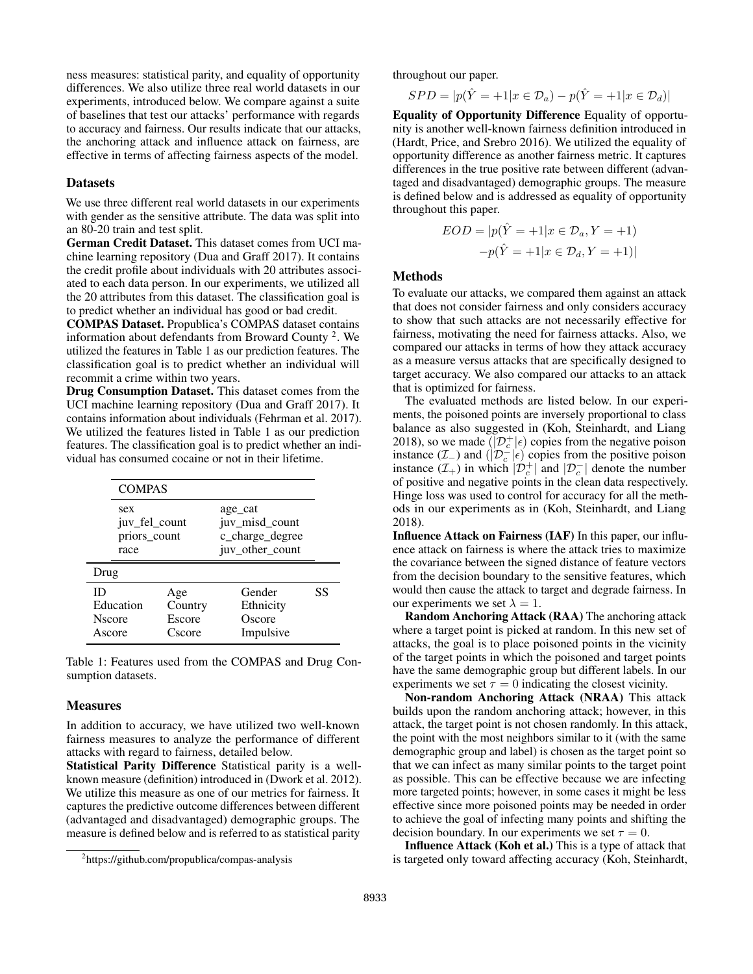ness measures: statistical parity, and equality of opportunity differences. We also utilize three real world datasets in our experiments, introduced below. We compare against a suite of baselines that test our attacks' performance with regards to accuracy and fairness. Our results indicate that our attacks, the anchoring attack and influence attack on fairness, are effective in terms of affecting fairness aspects of the model.

#### **Datasets**

We use three different real world datasets in our experiments with gender as the sensitive attribute. The data was split into an 80-20 train and test split.

German Credit Dataset. This dataset comes from UCI machine learning repository [\(Dua and Graff 2017\)](#page-7-7). It contains the credit profile about individuals with 20 attributes associated to each data person. In our experiments, we utilized all the 20 attributes from this dataset. The classification goal is to predict whether an individual has good or bad credit.

COMPAS Dataset. Propublica's COMPAS dataset contains information about defendants from Broward County<sup>[2](#page-3-0)</sup>. We utilized the features in Table [1](#page-3-1) as our prediction features. The classification goal is to predict whether an individual will recommit a crime within two years.

Drug Consumption Dataset. This dataset comes from the UCI machine learning repository [\(Dua and Graff 2017\)](#page-7-7). It contains information about individuals [\(Fehrman et al. 2017\)](#page-7-8). We utilized the features listed in Table [1](#page-3-1) as our prediction features. The classification goal is to predict whether an individual has consumed cocaine or not in their lifetime.

<span id="page-3-1"></span>

| <b>COMPAS</b>                                |                                    |                                                                 |    |
|----------------------------------------------|------------------------------------|-----------------------------------------------------------------|----|
| sex<br>juv_fel_count<br>priors_count<br>race |                                    | age cat<br>juv_misd_count<br>c_charge_degree<br>juv_other_count |    |
| Drug                                         |                                    |                                                                 |    |
| ID<br>Education<br><b>N</b> score<br>Ascore  | Age<br>Country<br>Escore<br>Cscore | Gender<br>Ethnicity<br>Oscore<br>Impulsive                      | SS |

Table 1: Features used from the COMPAS and Drug Consumption datasets.

#### **Measures**

In addition to accuracy, we have utilized two well-known fairness measures to analyze the performance of different attacks with regard to fairness, detailed below.

Statistical Parity Difference Statistical parity is a wellknown measure (definition) introduced in [\(Dwork et al. 2012\)](#page-7-1). We utilize this measure as one of our metrics for fairness. It captures the predictive outcome differences between different (advantaged and disadvantaged) demographic groups. The measure is defined below and is referred to as statistical parity

throughout our paper.

$$
SPD = |p(\hat{Y} = +1 | x \in \mathcal{D}_a) - p(\hat{Y} = +1 | x \in \mathcal{D}_a)|
$$

Equality of Opportunity Difference Equality of opportunity is another well-known fairness definition introduced in [\(Hardt, Price, and Srebro 2016\)](#page-7-2). We utilized the equality of opportunity difference as another fairness metric. It captures differences in the true positive rate between different (advantaged and disadvantaged) demographic groups. The measure is defined below and is addressed as equality of opportunity throughout this paper.

$$
EOD = |p(\hat{Y} = +1|x \in \mathcal{D}_a, Y = +1)
$$

$$
-p(\hat{Y} = +1|x \in \mathcal{D}_d, Y = +1)|
$$

### Methods

To evaluate our attacks, we compared them against an attack that does not consider fairness and only considers accuracy to show that such attacks are not necessarily effective for fairness, motivating the need for fairness attacks. Also, we compared our attacks in terms of how they attack accuracy as a measure versus attacks that are specifically designed to target accuracy. We also compared our attacks to an attack that is optimized for fairness.

The evaluated methods are listed below. In our experiments, the poisoned points are inversely proportional to class balance as also suggested in [\(Koh, Steinhardt, and Liang](#page-7-5) [2018\)](#page-7-5), so we made  $(|\mathcal{D}_{c}^{+}| \epsilon)$  copies from the negative poison instance  $(\mathcal{I}_-)$  and  $(|\mathcal{D}_c^-|\epsilon)$  copies from the positive poison instance  $(\mathcal{I}_{+})$  in which  $|\mathcal{D}_{c}^{+}|$  and  $|\mathcal{D}_{c}^{-}|$  denote the number of positive and negative points in the clean data respectively. Hinge loss was used to control for accuracy for all the methods in our experiments as in [\(Koh, Steinhardt, and Liang](#page-7-5) [2018\)](#page-7-5).

Influence Attack on Fairness (IAF) In this paper, our influence attack on fairness is where the attack tries to maximize the covariance between the signed distance of feature vectors from the decision boundary to the sensitive features, which would then cause the attack to target and degrade fairness. In our experiments we set  $\lambda = 1$ .

Random Anchoring Attack (RAA) The anchoring attack where a target point is picked at random. In this new set of attacks, the goal is to place poisoned points in the vicinity of the target points in which the poisoned and target points have the same demographic group but different labels. In our experiments we set  $\tau = 0$  indicating the closest vicinity.

Non-random Anchoring Attack (NRAA) This attack builds upon the random anchoring attack; however, in this attack, the target point is not chosen randomly. In this attack, the point with the most neighbors similar to it (with the same demographic group and label) is chosen as the target point so that we can infect as many similar points to the target point as possible. This can be effective because we are infecting more targeted points; however, in some cases it might be less effective since more poisoned points may be needed in order to achieve the goal of infecting many points and shifting the decision boundary. In our experiments we set  $\tau = 0$ .

Influence Attack (Koh et al.) This is a type of attack that is targeted only toward affecting accuracy [\(Koh, Steinhardt,](#page-7-5)

<span id="page-3-0"></span><sup>2</sup> https://github.com/propublica/compas-analysis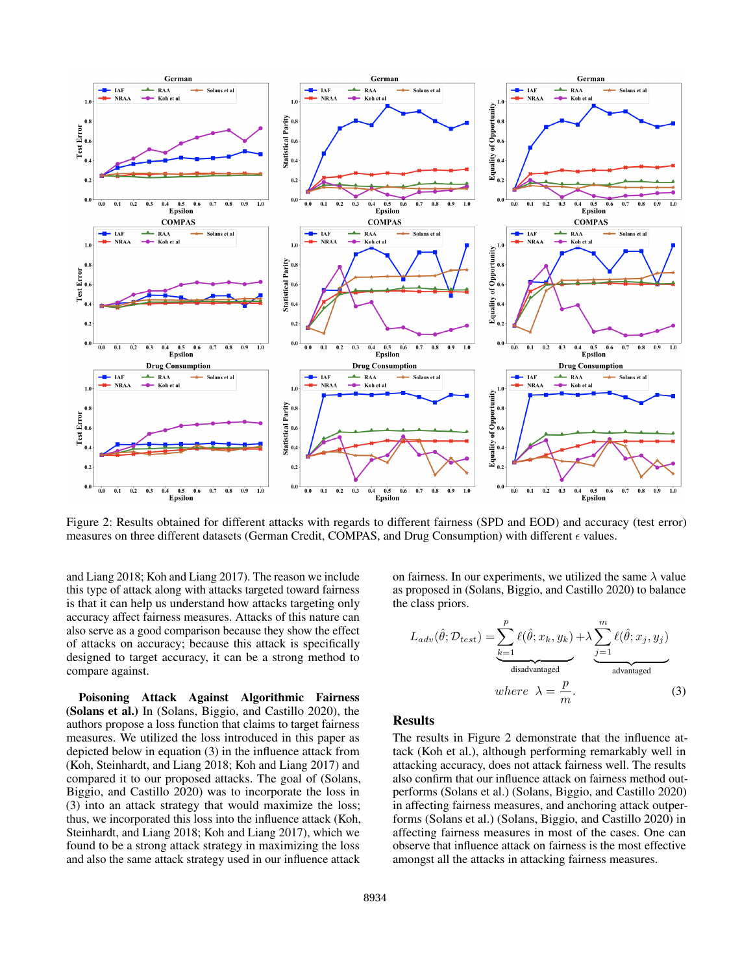<span id="page-4-0"></span>

[Figure 2: Results obtained for different attacks with regards to different fairness \(SPD and EOD\) and accuracy \(test error\)](#page-7-5) [measures on three different datasets \(German Credit, COMPAS, and Drug Consumption\) with different](#page-7-5)  $\epsilon$  values.

[and Liang 2018;](#page-7-5) [Koh and Liang 2017\)](#page-7-6). The reason we include this type of attack along with attacks targeted toward fairness is that it can help us understand how attacks targeting only accuracy affect fairness measures. Attacks of this nature can also serve as a good comparison because they show the effect of attacks on accuracy; because this attack is specifically designed to target accuracy, it can be a strong method to compare against.

Poisoning Attack Against Algorithmic Fairness (Solans et al.) In [\(Solans, Biggio, and Castillo 2020\)](#page-8-5), the authors propose a loss function that claims to target fairness measures. We utilized the loss introduced in this paper as depicted below in equation [\(3\)](#page-5-0) in the influence attack from [\(Koh, Steinhardt, and Liang 2018;](#page-7-5) [Koh and Liang 2017\)](#page-7-6) and compared it to our proposed attacks. The goal of [\(Solans,](#page-8-5) [Biggio, and Castillo 2020\)](#page-8-5) was to incorporate the loss in [\(3\)](#page-5-0) into an attack strategy that would maximize the loss; thus, we incorporated this loss into the influence attack [\(Koh,](#page-7-5) [Steinhardt, and Liang 2018;](#page-7-5) [Koh and Liang 2017\)](#page-7-6), which we found to be a strong attack strategy in maximizing the loss and also the same attack strategy used in our influence attack

on fairness. In our experiments, we utilized the same  $\lambda$  value as proposed in [\(Solans, Biggio, and Castillo 2020\)](#page-8-5) to balance the class priors.

$$
L_{adv}(\hat{\theta}; \mathcal{D}_{test}) = \underbrace{\sum_{k=1}^{p} \ell(\hat{\theta}; x_k, y_k)}_{\text{disadvantage}} + \lambda \underbrace{\sum_{j=1}^{m} \ell(\hat{\theta}; x_j, y_j)}_{\text{advantage}}
$$
\nwhere  $\lambda = \frac{p}{m}$ . (3)

#### Results

The results in Figure [2](#page-4-0) demonstrate that the influence attack (Koh et al.), although performing remarkably well in attacking accuracy, does not attack fairness well. The results also confirm that our influence attack on fairness method outperforms (Solans et al.) [\(Solans, Biggio, and Castillo 2020\)](#page-8-5) in affecting fairness measures, and anchoring attack outperforms (Solans et al.) [\(Solans, Biggio, and Castillo 2020\)](#page-8-5) in affecting fairness measures in most of the cases. One can observe that influence attack on fairness is the most effective amongst all the attacks in attacking fairness measures.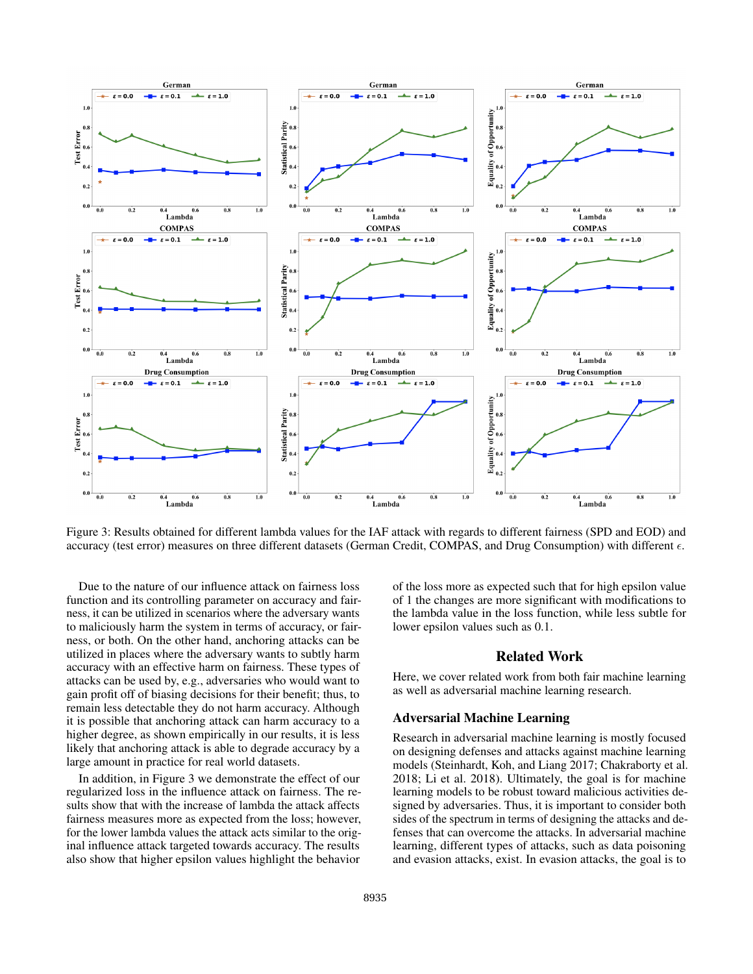<span id="page-5-0"></span>

Figure 3: Results obtained for different lambda values for the IAF attack with regards to different fairness (SPD and EOD) and accuracy (test error) measures on three different datasets (German Credit, COMPAS, and Drug Consumption) with different  $\epsilon$ .

Due to the nature of our influence attack on fairness loss function and its controlling parameter on accuracy and fairness, it can be utilized in scenarios where the adversary wants to maliciously harm the system in terms of accuracy, or fairness, or both. On the other hand, anchoring attacks can be utilized in places where the adversary wants to subtly harm accuracy with an effective harm on fairness. These types of attacks can be used by, e.g., adversaries who would want to gain profit off of biasing decisions for their benefit; thus, to remain less detectable they do not harm accuracy. Although it is possible that anchoring attack can harm accuracy to a higher degree, as shown empirically in our results, it is less likely that anchoring attack is able to degrade accuracy by a large amount in practice for real world datasets.

In addition, in Figure [3](#page-5-0) we demonstrate the effect of our regularized loss in the influence attack on fairness. The results show that with the increase of lambda the attack affects fairness measures more as expected from the loss; however, for the lower lambda values the attack acts similar to the original influence attack targeted towards accuracy. The results also show that higher epsilon values highlight the behavior

of the loss more as expected such that for high epsilon value of 1 the changes are more significant with modifications to the lambda value in the loss function, while less subtle for lower epsilon values such as 0.1.

# Related Work

Here, we cover related work from both fair machine learning as well as adversarial machine learning research.

### Adversarial Machine Learning

Research in adversarial machine learning is mostly focused on designing defenses and attacks against machine learning models [\(Steinhardt, Koh, and Liang 2017;](#page-8-6) [Chakraborty et al.](#page-7-4) [2018;](#page-7-4) [Li et al. 2018\)](#page-8-2). Ultimately, the goal is for machine learning models to be robust toward malicious activities designed by adversaries. Thus, it is important to consider both sides of the spectrum in terms of designing the attacks and defenses that can overcome the attacks. In adversarial machine learning, different types of attacks, such as data poisoning and evasion attacks, exist. In evasion attacks, the goal is to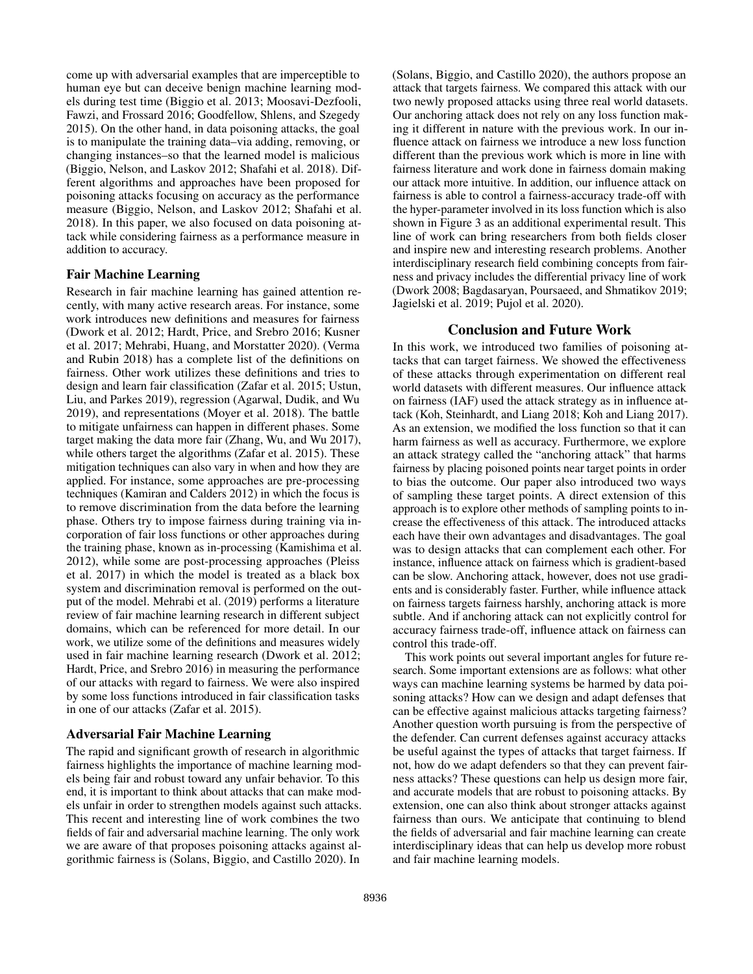come up with adversarial examples that are imperceptible to human eye but can deceive benign machine learning models during test time [\(Biggio et al. 2013;](#page-7-9) [Moosavi-Dezfooli,](#page-8-7) [Fawzi, and Frossard 2016;](#page-8-7) [Goodfellow, Shlens, and Szegedy](#page-7-10) [2015\)](#page-7-10). On the other hand, in data poisoning attacks, the goal is to manipulate the training data–via adding, removing, or changing instances–so that the learned model is malicious [\(Biggio, Nelson, and Laskov 2012;](#page-7-11) [Shafahi et al. 2018\)](#page-8-8). Different algorithms and approaches have been proposed for poisoning attacks focusing on accuracy as the performance measure [\(Biggio, Nelson, and Laskov 2012;](#page-7-11) [Shafahi et al.](#page-8-8) [2018\)](#page-8-8). In this paper, we also focused on data poisoning attack while considering fairness as a performance measure in addition to accuracy.

### Fair Machine Learning

Research in fair machine learning has gained attention recently, with many active research areas. For instance, some work introduces new definitions and measures for fairness [\(Dwork et al. 2012;](#page-7-1) [Hardt, Price, and Srebro 2016;](#page-7-2) [Kusner](#page-7-3) [et al. 2017;](#page-7-3) [Mehrabi, Huang, and Morstatter 2020\)](#page-8-9). [\(Verma](#page-8-0) [and Rubin 2018\)](#page-8-0) has a complete list of the definitions on fairness. Other work utilizes these definitions and tries to design and learn fair classification [\(Zafar et al. 2015;](#page-8-3) [Ustun,](#page-8-10) [Liu, and Parkes 2019\)](#page-8-10), regression [\(Agarwal, Dudik, and Wu](#page-7-12) [2019\)](#page-7-12), and representations [\(Moyer et al. 2018\)](#page-8-11). The battle to mitigate unfairness can happen in different phases. Some target making the data more fair [\(Zhang, Wu, and Wu 2017\)](#page-8-12), while others target the algorithms [\(Zafar et al. 2015\)](#page-8-3). These mitigation techniques can also vary in when and how they are applied. For instance, some approaches are pre-processing techniques [\(Kamiran and Calders 2012\)](#page-7-13) in which the focus is to remove discrimination from the data before the learning phase. Others try to impose fairness during training via incorporation of fair loss functions or other approaches during the training phase, known as in-processing [\(Kamishima et al.](#page-7-14) [2012\)](#page-7-14), while some are post-processing approaches [\(Pleiss](#page-8-13) [et al. 2017\)](#page-8-13) in which the model is treated as a black box system and discrimination removal is performed on the output of the model. [Mehrabi et al.](#page-8-1) [\(2019\)](#page-8-1) performs a literature review of fair machine learning research in different subject domains, which can be referenced for more detail. In our work, we utilize some of the definitions and measures widely used in fair machine learning research [\(Dwork et al. 2012;](#page-7-1) [Hardt, Price, and Srebro 2016\)](#page-7-2) in measuring the performance of our attacks with regard to fairness. We were also inspired by some loss functions introduced in fair classification tasks in one of our attacks [\(Zafar et al. 2015\)](#page-8-3).

### Adversarial Fair Machine Learning

The rapid and significant growth of research in algorithmic fairness highlights the importance of machine learning models being fair and robust toward any unfair behavior. To this end, it is important to think about attacks that can make models unfair in order to strengthen models against such attacks. This recent and interesting line of work combines the two fields of fair and adversarial machine learning. The only work we are aware of that proposes poisoning attacks against algorithmic fairness is [\(Solans, Biggio, and Castillo 2020\)](#page-8-5). In [\(Solans, Biggio, and Castillo 2020\)](#page-8-5), the authors propose an attack that targets fairness. We compared this attack with our two newly proposed attacks using three real world datasets. Our anchoring attack does not rely on any loss function making it different in nature with the previous work. In our influence attack on fairness we introduce a new loss function different than the previous work which is more in line with fairness literature and work done in fairness domain making our attack more intuitive. In addition, our influence attack on fairness is able to control a fairness-accuracy trade-off with the hyper-parameter involved in its loss function which is also shown in Figure [3](#page-5-0) as an additional experimental result. This line of work can bring researchers from both fields closer and inspire new and interesting research problems. Another interdisciplinary research field combining concepts from fairness and privacy includes the differential privacy line of work [\(Dwork 2008;](#page-7-15) [Bagdasaryan, Poursaeed, and Shmatikov 2019;](#page-7-16) [Jagielski et al. 2019;](#page-7-17) [Pujol et al. 2020\)](#page-8-14).

### Conclusion and Future Work

In this work, we introduced two families of poisoning attacks that can target fairness. We showed the effectiveness of these attacks through experimentation on different real world datasets with different measures. Our influence attack on fairness (IAF) used the attack strategy as in influence attack [\(Koh, Steinhardt, and Liang 2018;](#page-7-5) [Koh and Liang 2017\)](#page-7-6). As an extension, we modified the loss function so that it can harm fairness as well as accuracy. Furthermore, we explore an attack strategy called the "anchoring attack" that harms fairness by placing poisoned points near target points in order to bias the outcome. Our paper also introduced two ways of sampling these target points. A direct extension of this approach is to explore other methods of sampling points to increase the effectiveness of this attack. The introduced attacks each have their own advantages and disadvantages. The goal was to design attacks that can complement each other. For instance, influence attack on fairness which is gradient-based can be slow. Anchoring attack, however, does not use gradients and is considerably faster. Further, while influence attack on fairness targets fairness harshly, anchoring attack is more subtle. And if anchoring attack can not explicitly control for accuracy fairness trade-off, influence attack on fairness can control this trade-off.

This work points out several important angles for future research. Some important extensions are as follows: what other ways can machine learning systems be harmed by data poisoning attacks? How can we design and adapt defenses that can be effective against malicious attacks targeting fairness? Another question worth pursuing is from the perspective of the defender. Can current defenses against accuracy attacks be useful against the types of attacks that target fairness. If not, how do we adapt defenders so that they can prevent fairness attacks? These questions can help us design more fair, and accurate models that are robust to poisoning attacks. By extension, one can also think about stronger attacks against fairness than ours. We anticipate that continuing to blend the fields of adversarial and fair machine learning can create interdisciplinary ideas that can help us develop more robust and fair machine learning models.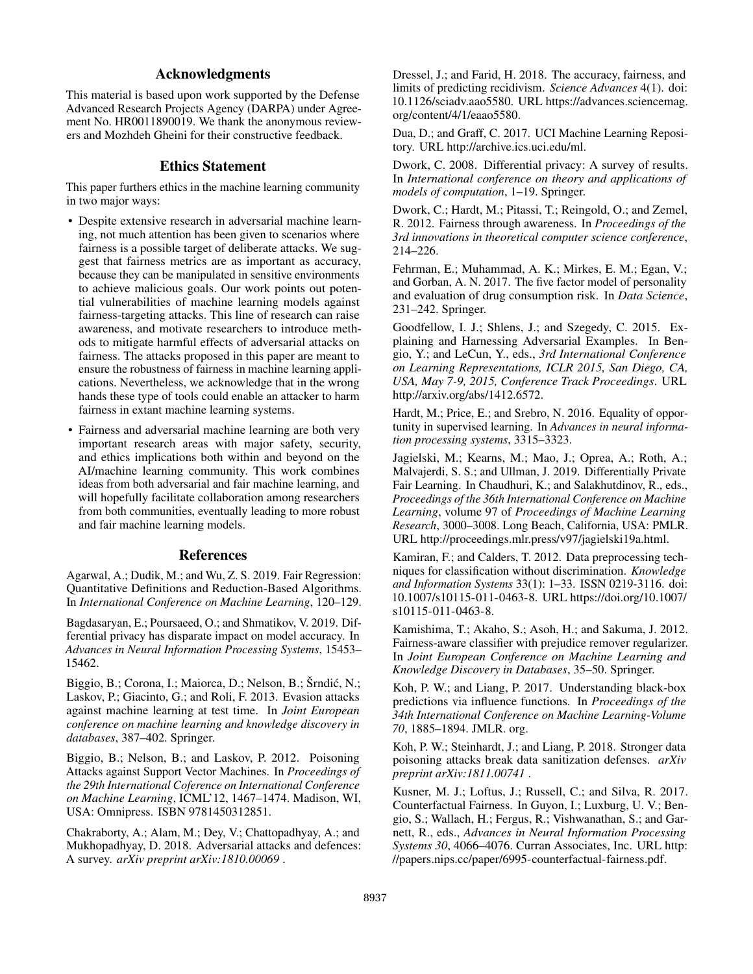# Acknowledgments

This material is based upon work supported by the Defense Advanced Research Projects Agency (DARPA) under Agreement No. HR0011890019. We thank the anonymous reviewers and Mozhdeh Gheini for their constructive feedback.

## Ethics Statement

This paper furthers ethics in the machine learning community in two major ways:

- Despite extensive research in adversarial machine learning, not much attention has been given to scenarios where fairness is a possible target of deliberate attacks. We suggest that fairness metrics are as important as accuracy, because they can be manipulated in sensitive environments to achieve malicious goals. Our work points out potential vulnerabilities of machine learning models against fairness-targeting attacks. This line of research can raise awareness, and motivate researchers to introduce methods to mitigate harmful effects of adversarial attacks on fairness. The attacks proposed in this paper are meant to ensure the robustness of fairness in machine learning applications. Nevertheless, we acknowledge that in the wrong hands these type of tools could enable an attacker to harm fairness in extant machine learning systems.
- Fairness and adversarial machine learning are both very important research areas with major safety, security, and ethics implications both within and beyond on the AI/machine learning community. This work combines ideas from both adversarial and fair machine learning, and will hopefully facilitate collaboration among researchers from both communities, eventually leading to more robust and fair machine learning models.

### References

<span id="page-7-12"></span>Agarwal, A.; Dudik, M.; and Wu, Z. S. 2019. Fair Regression: Quantitative Definitions and Reduction-Based Algorithms. In *International Conference on Machine Learning*, 120–129.

<span id="page-7-16"></span>Bagdasaryan, E.; Poursaeed, O.; and Shmatikov, V. 2019. Differential privacy has disparate impact on model accuracy. In *Advances in Neural Information Processing Systems*, 15453– 15462.

<span id="page-7-9"></span>Biggio, B.; Corona, I.; Maiorca, D.; Nelson, B.; Šrndić, N.; Laskov, P.; Giacinto, G.; and Roli, F. 2013. Evasion attacks against machine learning at test time. In *Joint European conference on machine learning and knowledge discovery in databases*, 387–402. Springer.

<span id="page-7-11"></span>Biggio, B.; Nelson, B.; and Laskov, P. 2012. Poisoning Attacks against Support Vector Machines. In *Proceedings of the 29th International Coference on International Conference on Machine Learning*, ICML'12, 1467–1474. Madison, WI, USA: Omnipress. ISBN 9781450312851.

<span id="page-7-4"></span>Chakraborty, A.; Alam, M.; Dey, V.; Chattopadhyay, A.; and Mukhopadhyay, D. 2018. Adversarial attacks and defences: A survey. *arXiv preprint arXiv:1810.00069* .

<span id="page-7-0"></span>Dressel, J.; and Farid, H. 2018. The accuracy, fairness, and limits of predicting recidivism. *Science Advances* 4(1). doi: 10.1126/sciadv.aao5580. URL [https://advances.sciencemag.](https://advances.sciencemag.org/content/4/1/eaao5580) [org/content/4/1/eaao5580.](https://advances.sciencemag.org/content/4/1/eaao5580)

<span id="page-7-7"></span>Dua, D.; and Graff, C. 2017. UCI Machine Learning Repository. URL [http://archive.ics.uci.edu/ml.](http://archive.ics.uci.edu/ml)

<span id="page-7-15"></span>Dwork, C. 2008. Differential privacy: A survey of results. In *International conference on theory and applications of models of computation*, 1–19. Springer.

<span id="page-7-1"></span>Dwork, C.; Hardt, M.; Pitassi, T.; Reingold, O.; and Zemel, R. 2012. Fairness through awareness. In *Proceedings of the 3rd innovations in theoretical computer science conference*, 214–226.

<span id="page-7-8"></span>Fehrman, E.; Muhammad, A. K.; Mirkes, E. M.; Egan, V.; and Gorban, A. N. 2017. The five factor model of personality and evaluation of drug consumption risk. In *Data Science*, 231–242. Springer.

<span id="page-7-10"></span>Goodfellow, I. J.; Shlens, J.; and Szegedy, C. 2015. Explaining and Harnessing Adversarial Examples. In Bengio, Y.; and LeCun, Y., eds., *3rd International Conference on Learning Representations, ICLR 2015, San Diego, CA, USA, May 7-9, 2015, Conference Track Proceedings*. URL [http://arxiv.org/abs/1412.6572.](http://arxiv.org/abs/1412.6572)

<span id="page-7-2"></span>Hardt, M.; Price, E.; and Srebro, N. 2016. Equality of opportunity in supervised learning. In *Advances in neural information processing systems*, 3315–3323.

<span id="page-7-17"></span>Jagielski, M.; Kearns, M.; Mao, J.; Oprea, A.; Roth, A.; Malvajerdi, S. S.; and Ullman, J. 2019. Differentially Private Fair Learning. In Chaudhuri, K.; and Salakhutdinov, R., eds., *Proceedings of the 36th International Conference on Machine Learning*, volume 97 of *Proceedings of Machine Learning Research*, 3000–3008. Long Beach, California, USA: PMLR. URL [http://proceedings.mlr.press/v97/jagielski19a.html.](http://proceedings.mlr.press/v97/jagielski19a.html)

<span id="page-7-13"></span>Kamiran, F.; and Calders, T. 2012. Data preprocessing techniques for classification without discrimination. *Knowledge and Information Systems* 33(1): 1–33. ISSN 0219-3116. doi: 10.1007/s10115-011-0463-8. URL [https://doi.org/10.1007/](https://doi.org/10.1007/s10115-011-0463-8) [s10115-011-0463-8.](https://doi.org/10.1007/s10115-011-0463-8)

<span id="page-7-14"></span>Kamishima, T.; Akaho, S.; Asoh, H.; and Sakuma, J. 2012. Fairness-aware classifier with prejudice remover regularizer. In *Joint European Conference on Machine Learning and Knowledge Discovery in Databases*, 35–50. Springer.

<span id="page-7-6"></span>Koh, P. W.; and Liang, P. 2017. Understanding black-box predictions via influence functions. In *Proceedings of the 34th International Conference on Machine Learning-Volume 70*, 1885–1894. JMLR. org.

<span id="page-7-5"></span>Koh, P. W.; Steinhardt, J.; and Liang, P. 2018. Stronger data poisoning attacks break data sanitization defenses. *arXiv preprint arXiv:1811.00741* .

<span id="page-7-3"></span>Kusner, M. J.; Loftus, J.; Russell, C.; and Silva, R. 2017. Counterfactual Fairness. In Guyon, I.; Luxburg, U. V.; Bengio, S.; Wallach, H.; Fergus, R.; Vishwanathan, S.; and Garnett, R., eds., *Advances in Neural Information Processing Systems 30*, 4066–4076. Curran Associates, Inc. URL [http:](http://papers.nips.cc/paper/6995-counterfactual-fairness.pdf) [//papers.nips.cc/paper/6995-counterfactual-fairness.pdf.](http://papers.nips.cc/paper/6995-counterfactual-fairness.pdf)